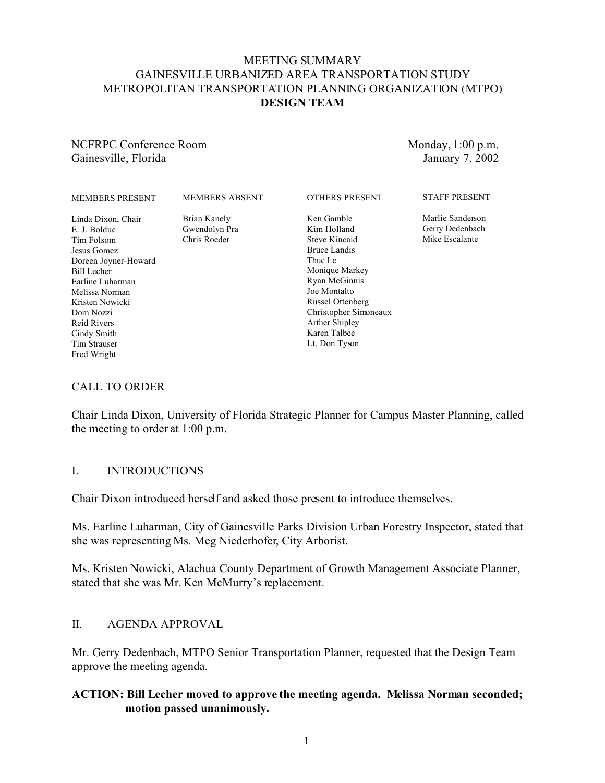## MEETING SUMMARY GAINESVILLE URBANIZED AREA TRANSPORTATION STUDY METROPOLITAN TRANSPORTATION PLANNING ORGANIZATION (MTPO) **DESIGN TEAM**

NCFRPC Conference Room Gainesville, Florida

Monday, 1:00 p.m. January 7, 2002

| <b>MEMBERS PRESENT</b>                                                                                                                                                                                                     | <b>MEMBERS ABSENT</b>                         | <b>OTHERS PRESENT</b>                                                                                                                                                                                                    | <b>STAFF PRESENT</b>                                  |
|----------------------------------------------------------------------------------------------------------------------------------------------------------------------------------------------------------------------------|-----------------------------------------------|--------------------------------------------------------------------------------------------------------------------------------------------------------------------------------------------------------------------------|-------------------------------------------------------|
| Linda Dixon, Chair<br>E. J. Bolduc<br>Tim Folsom<br>Jesus Gomez<br>Doreen Joyner-Howard<br>Bill Lecher<br>Earline Luharman<br>Melissa Norman<br>Kristen Nowicki<br>Dom Nozzi<br>Reid Rivers<br>Cindy Smith<br>Tim Strauser | Brian Kanely<br>Gwendolyn Pra<br>Chris Roeder | Ken Gamble<br>Kim Holland<br>Steve Kincaid<br>Bruce Landis<br>Thuc Le<br>Monique Markey<br>Ryan McGinnis<br>Joe Montalto<br>Russel Ottenberg<br>Christopher Simoneaux<br>Arther Shipley<br>Karen Talbee<br>Lt. Don Tyson | Marlie Sanderson<br>Gerry Dedenbach<br>Mike Escalante |
| Fred Wright                                                                                                                                                                                                                |                                               |                                                                                                                                                                                                                          |                                                       |

### CALL TO ORDER

Chair Linda Dixon, University of Florida Strategic Planner for Campus Master Planning, called the meeting to order at 1:00 p.m.

#### I. INTRODUCTIONS

Chair Dixon introduced herself and asked those present to introduce themselves.

Ms. Earline Luharman, City of Gainesville Parks Division Urban Forestry Inspector, stated that she was representing Ms. Meg Niederhofer, City Arborist.

Ms. Kristen Nowicki, Alachua County Department of Growth Management Associate Planner, stated that she was Mr. Ken McMurry's replacement.

#### II. AGENDA APPROVAL

Mr. Gerry Dedenbach, MTPO Senior Transportation Planner, requested that the Design Team approve the meeting agenda.

### **ACTION: Bill Lecher moved to approve the meeting agenda. Melissa Norman seconded; motion passed unanimously.**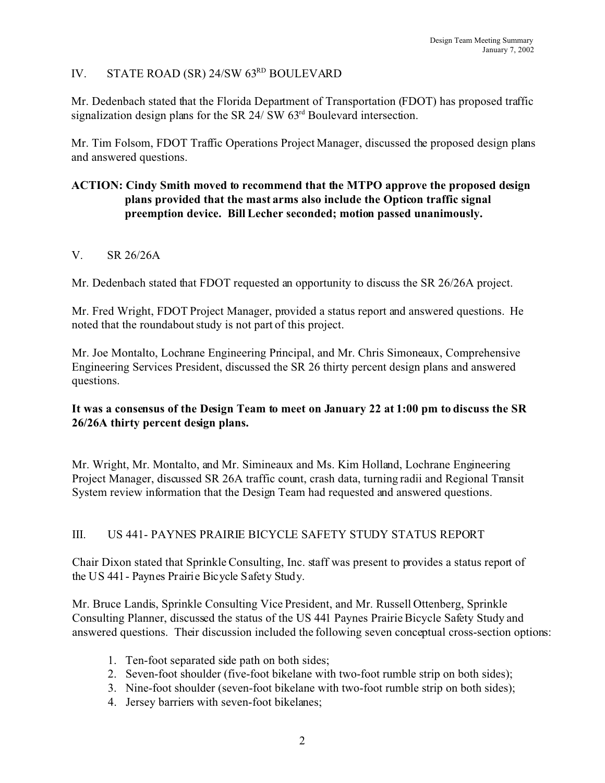## IV. STATE ROAD (SR) 24/SW 63<sup>RD</sup> BOULEVARD

Mr. Dedenbach stated that the Florida Department of Transportation (FDOT) has proposed traffic signalization design plans for the SR 24/ SW 63<sup>rd</sup> Boulevard intersection.

Mr. Tim Folsom, FDOT Traffic Operations Project Manager, discussed the proposed design plans and answered questions.

# **ACTION: Cindy Smith moved to recommend that the MTPO approve the proposed design plans provided that the mast arms also include the Opticon traffic signal preemption device. Bill Lecher seconded; motion passed unanimously.**

### V. SR 26/26A

Mr. Dedenbach stated that FDOT requested an opportunity to discuss the SR 26/26A project.

Mr. Fred Wright, FDOT Project Manager, provided a status report and answered questions. He noted that the roundabout study is not part of this project.

Mr. Joe Montalto, Lochrane Engineering Principal, and Mr. Chris Simoneaux, Comprehensive Engineering Services President, discussed the SR 26 thirty percent design plans and answered questions.

### **It was a consensus of the Design Team to meet on January 22 at 1:00 pm to discuss the SR 26/26A thirty percent design plans.**

Mr. Wright, Mr. Montalto, and Mr. Simineaux and Ms. Kim Holland, Lochrane Engineering Project Manager, discussed SR 26A traffic count, crash data, turning radii and Regional Transit System review information that the Design Team had requested and answered questions.

### III. US 441- PAYNES PRAIRIE BICYCLE SAFETY STUDY STATUS REPORT

Chair Dixon stated that Sprinkle Consulting, Inc. staff was present to provides a status report of the US 441- Paynes Prairie Bicycle Safety Study.

Mr. Bruce Landis, Sprinkle Consulting Vice President, and Mr. Russell Ottenberg, Sprinkle Consulting Planner, discussed the status of the US 441 Paynes Prairie Bicycle Safety Study and answered questions. Their discussion included the following seven conceptual cross-section options:

- 1. Ten-foot separated side path on both sides;
- 2. Seven-foot shoulder (five-foot bikelane with two-foot rumble strip on both sides);
- 3. Nine-foot shoulder (seven-foot bikelane with two-foot rumble strip on both sides);
- 4. Jersey barriers with seven-foot bikelanes;